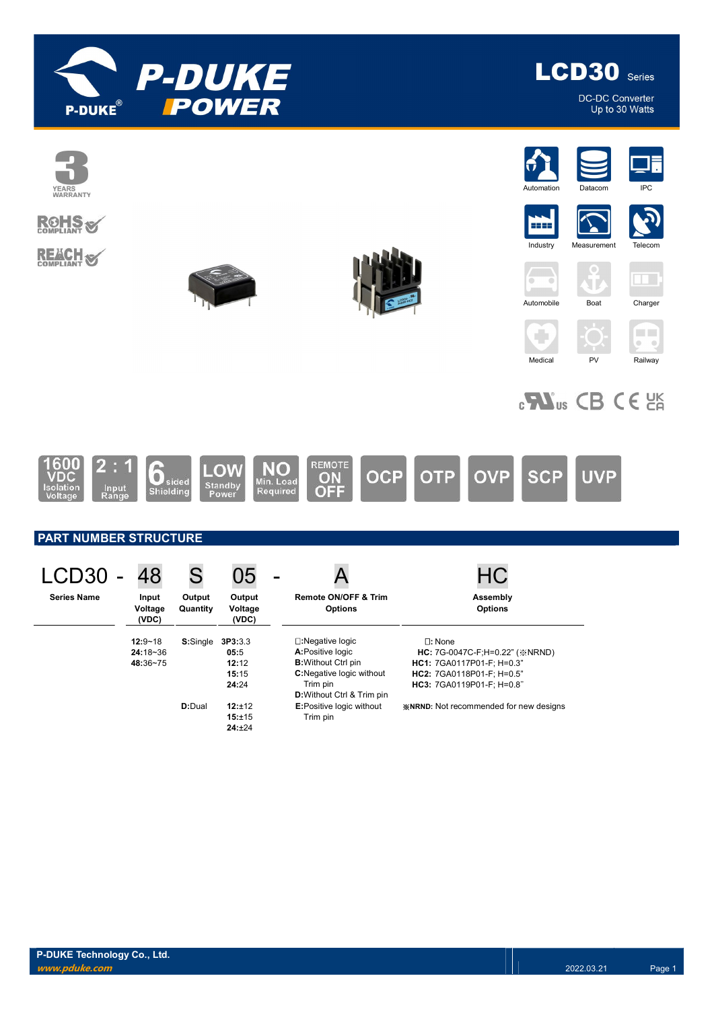



DC-DC Converter Up to 30 Watts

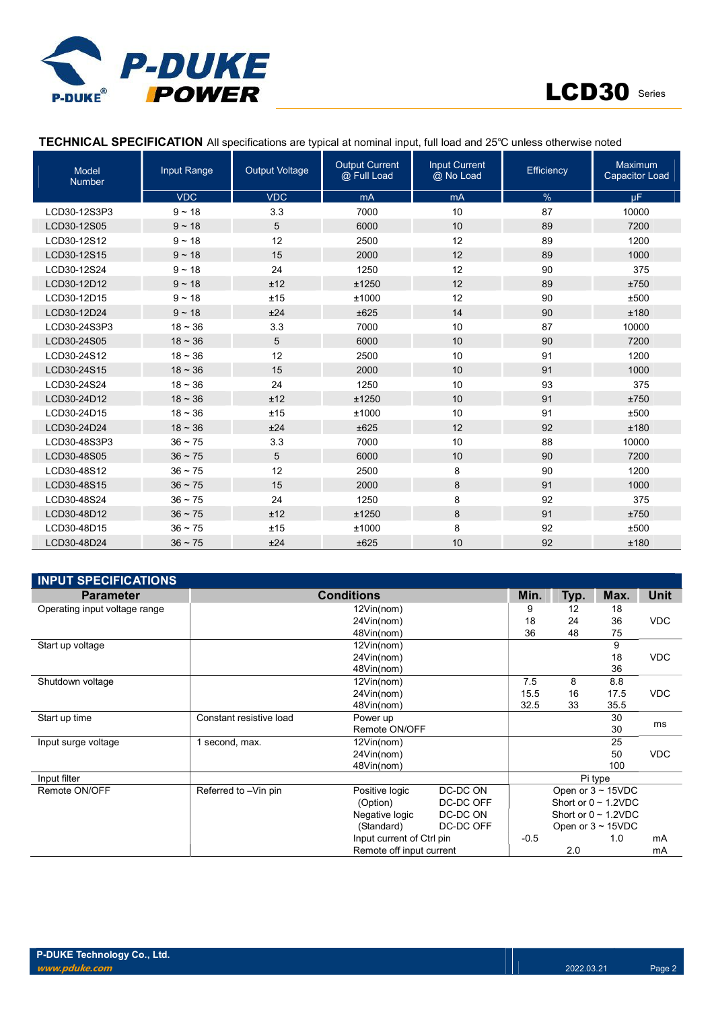



#### TECHNICAL SPECIFICATION All specifications are typical at nominal input, full load and 25℃ unless otherwise noted

| <b>Model</b><br><b>Number</b> | Input Range  | <b>Output Voltage</b> | <b>Output Current</b><br>@ Full Load | <b>Input Current</b><br>@ No Load | Efficiency | Maximum<br><b>Capacitor Load</b> |
|-------------------------------|--------------|-----------------------|--------------------------------------|-----------------------------------|------------|----------------------------------|
|                               | <b>VDC</b>   | <b>VDC</b>            | mA                                   | mA                                | %          | μF.                              |
| LCD30-12S3P3                  | $9 - 18$     | 3.3                   | 7000                                 | 10                                | 87         | 10000                            |
| LCD30-12S05                   | $9 - 18$     | 5                     | 6000                                 | 10                                | 89         | 7200                             |
| LCD30-12S12                   | $9 - 18$     | 12                    | 2500                                 | 12                                | 89         | 1200                             |
| LCD30-12S15                   | $9 - 18$     | 15                    | 2000                                 | 12                                | 89         | 1000                             |
| LCD30-12S24                   | $9 - 18$     | 24                    | 1250                                 | 12                                | 90         | 375                              |
| LCD30-12D12                   | $9 - 18$     | ±12                   | ±1250                                | 12                                | 89         | ±750                             |
| LCD30-12D15                   | $9 - 18$     | ±15                   | ±1000                                | 12                                | 90         | ±500                             |
| LCD30-12D24                   | $9 - 18$     | ±24                   | ±625                                 | 14                                | 90         | ±180                             |
| LCD30-24S3P3                  | $18 - 36$    | 3.3                   | 7000                                 | 10                                | 87         | 10000                            |
| LCD30-24S05                   | $18 - 36$    | 5                     | 6000                                 | 10                                | 90         | 7200                             |
| LCD30-24S12                   | $18 - 36$    | 12                    | 2500                                 | 10                                | 91         | 1200                             |
| LCD30-24S15                   | $18 - 36$    | 15                    | 2000                                 | 10                                | 91         | 1000                             |
| LCD30-24S24                   | $18 - 36$    | 24                    | 1250                                 | 10                                | 93         | 375                              |
| LCD30-24D12                   | $18 - 36$    | ±12                   | ±1250                                | 10                                | 91         | ±750                             |
| LCD30-24D15                   | $18 - 36$    | ±15                   | ±1000                                | 10                                | 91         | ±500                             |
| LCD30-24D24                   | $18 - 36$    | ±24                   | ±625                                 | 12                                | 92         | ±180                             |
| LCD30-48S3P3                  | $36 \sim 75$ | 3.3                   | 7000                                 | 10                                | 88         | 10000                            |
| LCD30-48S05                   | $36 - 75$    | 5                     | 6000                                 | 10                                | 90         | 7200                             |
| LCD30-48S12                   | $36 \sim 75$ | 12                    | 2500                                 | 8                                 | 90         | 1200                             |
| LCD30-48S15                   | $36 - 75$    | 15                    | 2000                                 | 8                                 | 91         | 1000                             |
| LCD30-48S24                   | $36 - 75$    | 24                    | 1250                                 | 8                                 | 92         | 375                              |
| LCD30-48D12                   | $36 \sim 75$ | ±12                   | ±1250                                | 8                                 | 91         | ±750                             |
| LCD30-48D15                   | $36 - 75$    | ±15                   | ±1000                                | 8                                 | 92         | ±500                             |
| LCD30-48D24                   | $36 - 75$    | ±24                   | ±625                                 | 10                                | 92         | ±180                             |

| <b>INPUT SPECIFICATIONS</b>   |                         |                           |           |                                                                                                                |            |                           |                        |  |  |
|-------------------------------|-------------------------|---------------------------|-----------|----------------------------------------------------------------------------------------------------------------|------------|---------------------------|------------------------|--|--|
| <b>Parameter</b>              | <b>Conditions</b>       | Min.                      | Typ.      | Max.                                                                                                           | Unit       |                           |                        |  |  |
| Operating input voltage range |                         | 12Vin(nom)                |           | 9                                                                                                              | 12         | 18                        |                        |  |  |
|                               |                         | 18                        | 24        | 36                                                                                                             | <b>VDC</b> |                           |                        |  |  |
|                               |                         | 48Vin(nom)                |           | 36                                                                                                             | 48         | 75                        |                        |  |  |
| Start up voltage              |                         | 12Vin(nom)                |           |                                                                                                                |            | 9                         |                        |  |  |
|                               |                         | 24Vin(nom)                |           |                                                                                                                |            | 18                        |                        |  |  |
|                               |                         | 48Vin(nom)                |           |                                                                                                                |            |                           |                        |  |  |
| Shutdown voltage              |                         | 12Vin(nom)                | 8.8       |                                                                                                                |            |                           |                        |  |  |
|                               |                         | 24Vin(nom)                |           | <b>VDC</b><br>36<br>7.5<br>8<br><b>VDC</b><br>15.5<br>16<br>17.5<br>33<br>32.5<br>35.5<br>30<br>ms<br>30<br>25 |            |                           |                        |  |  |
|                               |                         | 48Vin(nom)                |           |                                                                                                                |            |                           | <b>VDC</b><br>mA<br>mA |  |  |
| Start up time                 | Constant resistive load | Power up                  |           |                                                                                                                |            |                           |                        |  |  |
|                               |                         | Remote ON/OFF             |           |                                                                                                                |            |                           |                        |  |  |
| Input surge voltage           | 1 second, max.          | 12Vin(nom)                |           |                                                                                                                |            |                           |                        |  |  |
|                               |                         | 24Vin(nom)                |           |                                                                                                                |            | 50                        |                        |  |  |
|                               |                         | 48Vin(nom)                |           |                                                                                                                |            | 100                       |                        |  |  |
| Input filter                  |                         |                           |           |                                                                                                                |            | Pi type                   |                        |  |  |
| Remote ON/OFF                 | Referred to -Vin pin    | Positive logic            | DC-DC ON  |                                                                                                                |            | Open or $3 \sim 15$ VDC   |                        |  |  |
|                               |                         | (Option)                  | DC-DC OFF |                                                                                                                |            | Short or $0 \sim 1.2$ VDC |                        |  |  |
|                               |                         | Negative logic            | DC-DC ON  |                                                                                                                |            | Short or $0 \sim 1.2$ VDC |                        |  |  |
|                               |                         | (Standard)                | DC-DC OFF |                                                                                                                |            | Open or $3 \sim 15$ VDC   |                        |  |  |
|                               |                         | Input current of Ctrl pin |           | $-0.5$                                                                                                         |            | 1.0                       |                        |  |  |
|                               |                         | Remote off input current  |           |                                                                                                                | 2.0        |                           |                        |  |  |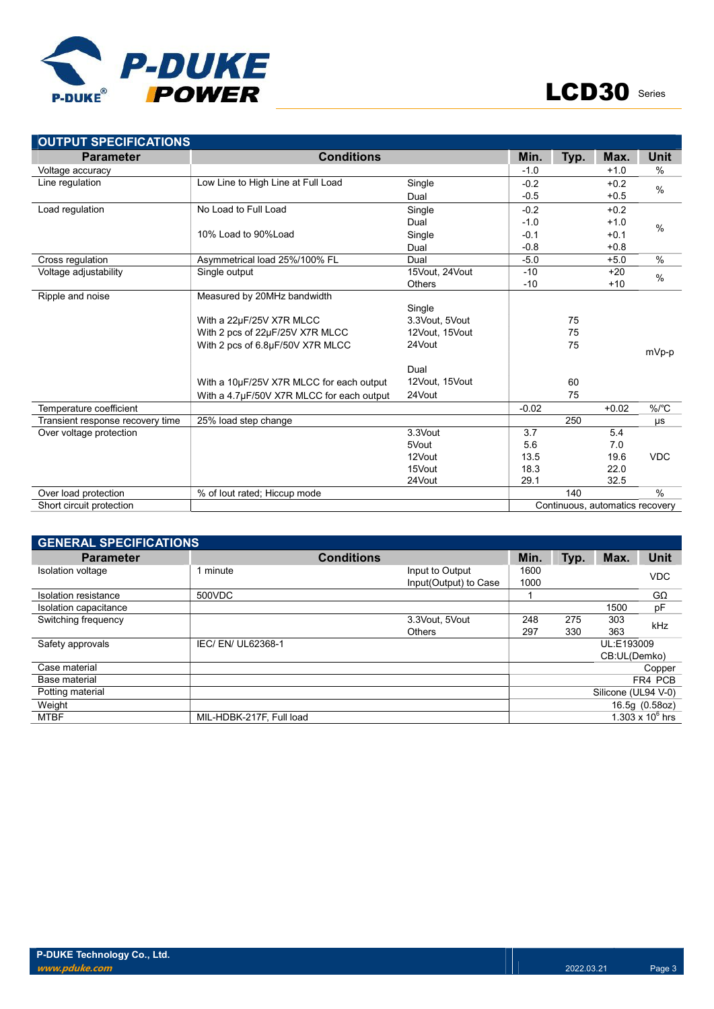

| <b>OUTPUT SPECIFICATIONS</b>     |                                           |                |         |                                 |         |               |  |
|----------------------------------|-------------------------------------------|----------------|---------|---------------------------------|---------|---------------|--|
| <b>Parameter</b>                 | <b>Conditions</b>                         |                | Min.    | Typ.                            | Max.    | <b>Unit</b>   |  |
| Voltage accuracy                 |                                           |                | $-1.0$  |                                 | $+1.0$  | $\frac{0}{0}$ |  |
| Line regulation                  | Low Line to High Line at Full Load        | Single         | $-0.2$  |                                 | $+0.2$  | $\%$          |  |
|                                  |                                           | Dual           | $-0.5$  |                                 | $+0.5$  |               |  |
| Load regulation                  | No Load to Full Load                      | Single         | $-0.2$  |                                 | $+0.2$  |               |  |
|                                  |                                           | Dual           | $-1.0$  |                                 | $+1.0$  | $\%$          |  |
|                                  | 10% Load to 90%Load                       | Single         | $-0.1$  |                                 | $+0.1$  |               |  |
|                                  |                                           | Dual           | $-0.8$  |                                 | $+0.8$  |               |  |
| Cross regulation                 | Asymmetrical load 25%/100% FL             | Dual           | $-5.0$  |                                 | $+5.0$  | $\frac{0}{0}$ |  |
| Voltage adjustability            | Single output                             | 15Vout, 24Vout | $-10$   |                                 | $+20$   | $\%$          |  |
|                                  |                                           | <b>Others</b>  | $-10$   |                                 | $+10$   |               |  |
| Ripple and noise                 | Measured by 20MHz bandwidth               |                |         |                                 |         |               |  |
|                                  |                                           | Single         |         |                                 |         |               |  |
|                                  | With a 22µF/25V X7R MLCC                  | 3.3Vout, 5Vout |         | 75                              |         |               |  |
|                                  | With 2 pcs of 22µF/25V X7R MLCC           | 12Vout, 15Vout |         | 75                              |         |               |  |
|                                  | With 2 pcs of 6.8µF/50V X7R MLCC          | 24Vout         |         | 75                              |         | mVp-p         |  |
|                                  |                                           |                |         |                                 |         |               |  |
|                                  |                                           | Dual           |         |                                 |         |               |  |
|                                  | With a 10µF/25V X7R MLCC for each output  | 12Vout, 15Vout |         | 60                              |         |               |  |
|                                  | With a 4.7µF/50V X7R MLCC for each output | 24Vout         |         | 75                              |         |               |  |
| Temperature coefficient          |                                           |                | $-0.02$ |                                 | $+0.02$ | $%$ /°C       |  |
| Transient response recovery time | 25% load step change                      |                |         | 250                             |         | μs            |  |
| Over voltage protection          |                                           | 3.3Vout        | 3.7     |                                 | 5.4     |               |  |
|                                  |                                           | 5Vout          | 5.6     |                                 | 7.0     |               |  |
|                                  |                                           | 12Vout         | 13.5    |                                 | 19.6    | <b>VDC</b>    |  |
|                                  |                                           | 15Vout         | 18.3    |                                 | 22.0    |               |  |
|                                  |                                           | 24Vout         | 29.1    |                                 | 32.5    |               |  |
| Over load protection             | % of lout rated; Hiccup mode              |                |         | 140                             |         | $\frac{0}{0}$ |  |
| Short circuit protection         |                                           |                |         | Continuous, automatics recovery |         |               |  |

| <b>GENERAL SPECIFICATIONS</b> |                          |      |                                          |              |             |                     |                    |  |  |  |
|-------------------------------|--------------------------|------|------------------------------------------|--------------|-------------|---------------------|--------------------|--|--|--|
| <b>Parameter</b>              |                          | Min. | Typ.                                     | Max.         | <b>Unit</b> |                     |                    |  |  |  |
| <b>Isolation voltage</b>      | l minute                 |      | Input to Output<br>Input(Output) to Case | 1600<br>1000 |             |                     | <b>VDC</b>         |  |  |  |
| Isolation resistance          | 500VDC                   |      |                                          |              |             |                     | $G\Omega$          |  |  |  |
| Isolation capacitance         |                          |      |                                          |              |             | 1500                | pF                 |  |  |  |
| Switching frequency           |                          |      | 3.3Vout, 5Vout                           | 248          | 275         | 303                 |                    |  |  |  |
|                               |                          |      | <b>Others</b>                            | 297          | 330         | 363                 | kHz                |  |  |  |
| Safety approvals              | IEC/ EN/ UL62368-1       |      |                                          |              |             | UL:E193009          |                    |  |  |  |
|                               |                          |      |                                          |              |             | CB:UL(Demko)        |                    |  |  |  |
| Case material                 |                          |      |                                          |              |             |                     | Copper             |  |  |  |
| Base material                 |                          |      |                                          |              |             |                     | FR4 PCB            |  |  |  |
| Potting material              |                          |      |                                          |              |             | Silicone (UL94 V-0) |                    |  |  |  |
| Weight                        |                          |      |                                          |              |             |                     | 16.5g (0.58oz)     |  |  |  |
| <b>MTBF</b>                   | MIL-HDBK-217F. Full load |      |                                          |              |             |                     | 1.303 x $10^6$ hrs |  |  |  |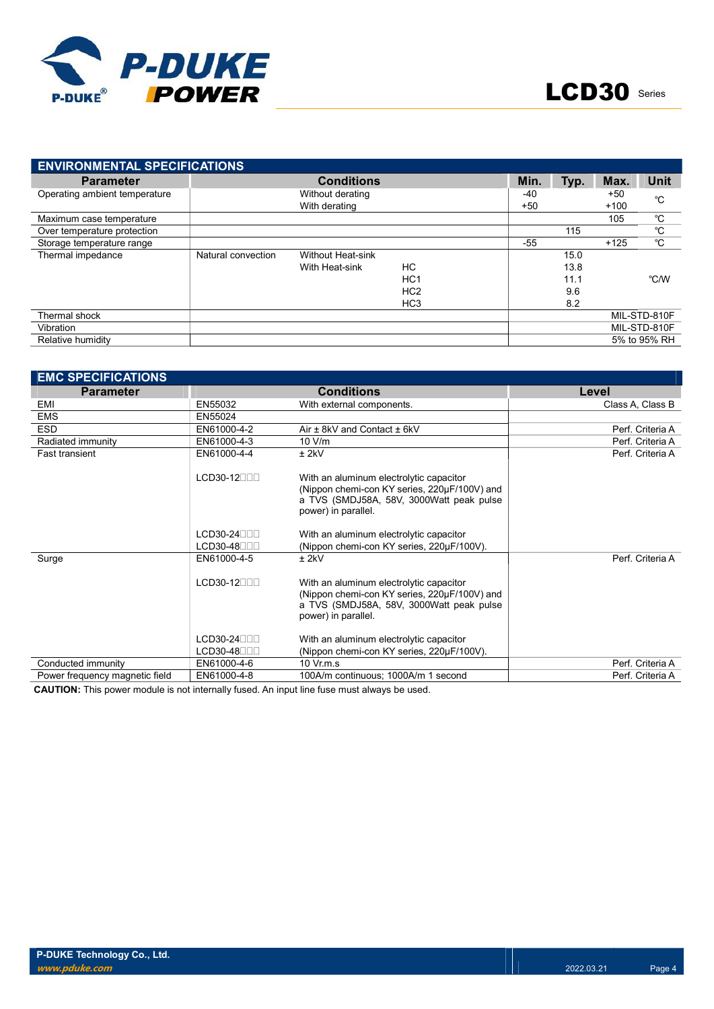

| <b>ENVIRONMENTAL SPECIFICATIONS</b> |                    |                          |                 |      |             |        |              |
|-------------------------------------|--------------------|--------------------------|-----------------|------|-------------|--------|--------------|
| <b>Parameter</b>                    |                    | Min.                     | Typ.            | Max. | <b>Unit</b> |        |              |
| Operating ambient temperature       |                    | Without derating         |                 | -40  |             | +50    | °C           |
|                                     |                    | With derating            | $+50$           |      | $+100$      |        |              |
| Maximum case temperature            |                    |                          |                 |      |             | 105    | °C           |
| Over temperature protection         |                    |                          |                 |      | 115         |        | °C           |
| Storage temperature range           |                    |                          |                 | -55  |             | $+125$ | °C           |
| Thermal impedance                   | Natural convection | <b>Without Heat-sink</b> |                 |      | 15.0        |        |              |
|                                     |                    | With Heat-sink           | НC              |      | 13.8        |        |              |
|                                     |                    |                          | HC <sub>1</sub> |      | 11.1        |        | °C/W         |
|                                     |                    |                          | HC <sub>2</sub> |      | 9.6         |        |              |
|                                     |                    |                          | HC <sub>3</sub> |      | 8.2         |        |              |
| Thermal shock                       |                    |                          |                 |      |             |        | MIL-STD-810F |
| Vibration                           |                    |                          |                 |      |             |        | MIL-STD-810F |
| Relative humidity                   |                    |                          |                 |      |             |        | 5% to 95% RH |

| <b>EMC SPECIFICATIONS</b>      |             |                                                                                                                                                            |                  |  |  |  |  |
|--------------------------------|-------------|------------------------------------------------------------------------------------------------------------------------------------------------------------|------------------|--|--|--|--|
| <b>Parameter</b>               |             | <b>Conditions</b><br>Level                                                                                                                                 |                  |  |  |  |  |
| EMI                            | EN55032     | With external components.                                                                                                                                  | Class A. Class B |  |  |  |  |
| <b>EMS</b>                     | EN55024     |                                                                                                                                                            |                  |  |  |  |  |
| <b>ESD</b>                     | EN61000-4-2 | Air $\pm$ 8kV and Contact $\pm$ 6kV                                                                                                                        | Perf. Criteria A |  |  |  |  |
| Radiated immunity              | EN61000-4-3 | 10 V/m                                                                                                                                                     | Perf. Criteria A |  |  |  |  |
| <b>Fast transient</b>          | EN61000-4-4 | $±$ 2kV                                                                                                                                                    | Perf. Criteria A |  |  |  |  |
|                                | $LCD30-12$  | With an aluminum electrolytic capacitor<br>(Nippon chemi-con KY series, 220µF/100V) and<br>a TVS (SMDJ58A, 58V, 3000Watt peak pulse<br>power) in parallel. |                  |  |  |  |  |
|                                | $LCD30-24$  | With an aluminum electrolytic capacitor                                                                                                                    |                  |  |  |  |  |
|                                | $LCD30-48$  | (Nippon chemi-con KY series, 220µF/100V).                                                                                                                  |                  |  |  |  |  |
| Surge                          | EN61000-4-5 | $±$ 2kV                                                                                                                                                    | Perf. Criteria A |  |  |  |  |
|                                | $LCD30-12$  | With an aluminum electrolytic capacitor<br>(Nippon chemi-con KY series, 220µF/100V) and<br>a TVS (SMDJ58A, 58V, 3000Watt peak pulse<br>power) in parallel. |                  |  |  |  |  |
|                                | $LCD30-24$  | With an aluminum electrolytic capacitor                                                                                                                    |                  |  |  |  |  |
|                                | $LCD30-48$  | (Nippon chemi-con KY series, 220µF/100V).                                                                                                                  |                  |  |  |  |  |
| Conducted immunity             | EN61000-4-6 | $10 \,$ Vr.m.s                                                                                                                                             | Perf. Criteria A |  |  |  |  |
| Power frequency magnetic field | EN61000-4-8 | 100A/m continuous; 1000A/m 1 second                                                                                                                        | Perf. Criteria A |  |  |  |  |

CAUTION: This power module is not internally fused. An input line fuse must always be used.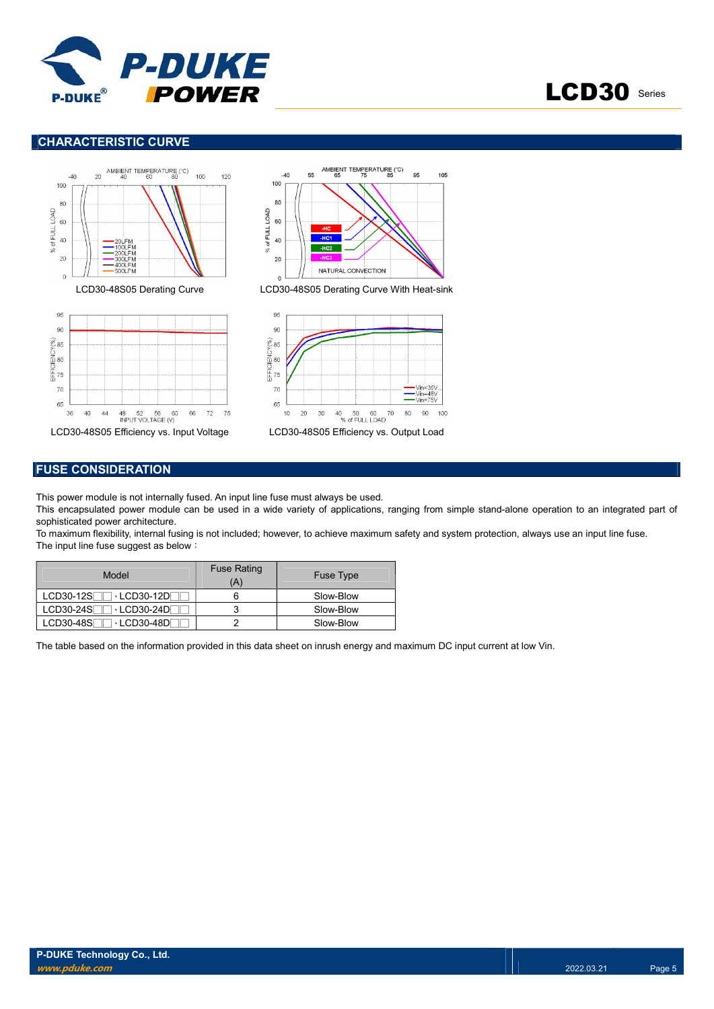

# LCD30 Series

#### CHARACTERISTIC CURVE



#### FUSE CONSIDERATION

This power module is not internally fused. An input line fuse must always be used.

This encapsulated power module can be used in a wide variety of applications, ranging from simple stand-alone operation to an integrated part of sophisticated power architecture.

95

Vin=36V

 $90\,$ 100

105

To maximum flexibility, internal fusing is not included; however, to achieve maximum safety and system protection, always use an input line fuse. The input line fuse suggest as below:

| Model                      | <b>Fuse Rating</b><br>A | <b>Fuse Type</b> |
|----------------------------|-------------------------|------------------|
| → LCD30-12DF<br>LCD30-12SF |                         | Slow-Blow        |
| LCD30-24SF<br>→ LCD30-24DΓ |                         | Slow-Blow        |
| LCD30-48SF<br>→ LCD30-48DF |                         | Slow-Blow        |

The table based on the information provided in this data sheet on inrush energy and maximum DC input current at low Vin.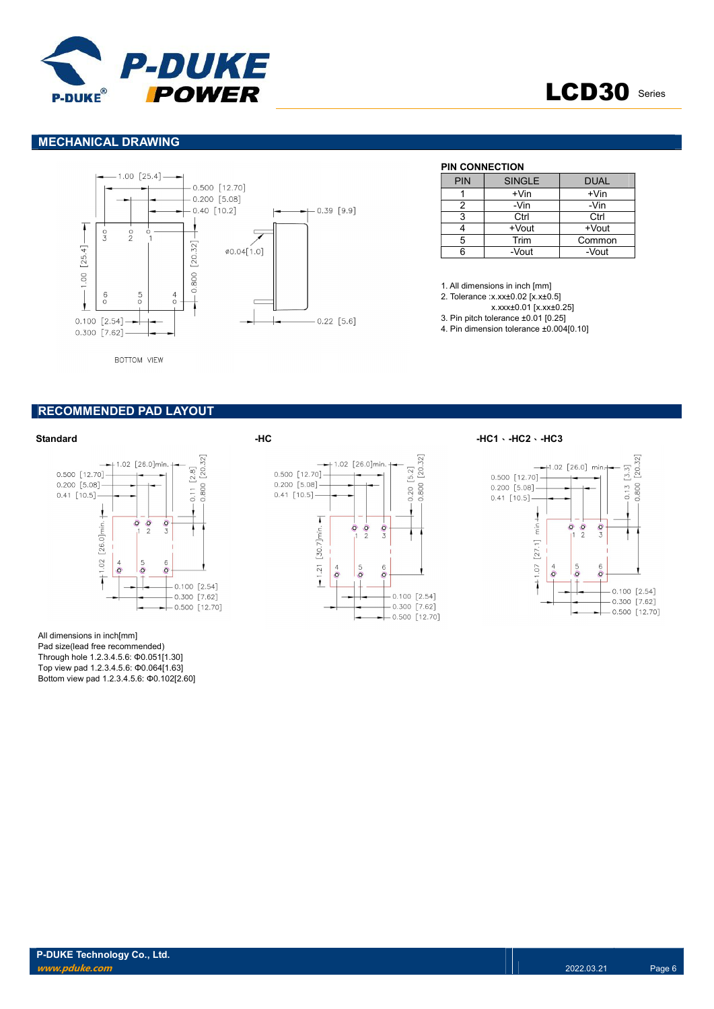



#### MECHANICAL DRAWING



BOTTOM VIEW

#### RECOMMENDED PAD LAYOUT

#### Standard -HC -HC1、-HC2、-HC3



All dimensions in inch[mm] Pad size(lead free recommended) Through hole 1.2.3.4.5.6: Φ0.051[1.30] Top view pad 1.2.3.4.5.6: Φ0.064[1.63] Bottom view pad 1.2.3.4.5.6: Φ0.102[2.60]



#### $[20.32]$  $+1.02$  [26.0] min  $[3.3]$ 0.500 [12.70]  $0.800$  $0.200$  [5.08]  $0.13$  $0.41$  [10.5]  $\overline{1}$  $\overline{\tilde{\epsilon}}$  $\overline{\Omega}$  $\frac{1}{2}$  $\frac{1}{2}$  $-1.07$  [27.1]  $\overline{o}$ ć  $\overline{O}$  $-0.100$  [2.54]  $-0.300$  [7.62]  $-0.500$  [12.70]

|            | ----------    |             |  |  |  |  |  |  |  |  |  |
|------------|---------------|-------------|--|--|--|--|--|--|--|--|--|
| <b>PIN</b> | <b>SINGLE</b> | <b>DUAL</b> |  |  |  |  |  |  |  |  |  |
|            | +Vin          | $+V$ in     |  |  |  |  |  |  |  |  |  |
|            | -Vin          | -Vin        |  |  |  |  |  |  |  |  |  |
|            | Ctrl          | Ctrl        |  |  |  |  |  |  |  |  |  |
|            | $+$ Vout      | $+$ Vout    |  |  |  |  |  |  |  |  |  |
| 5          | Trim          | Common      |  |  |  |  |  |  |  |  |  |
|            | -Vout         | -Vout       |  |  |  |  |  |  |  |  |  |

1. All dimensions in inch [mm]

- 2. Tolerance :x.xx±0.02 [x.x±0.5]
- x.xxx±0.01 [x.xx±0.25]
- 3. Pin pitch tolerance ±0.01 [0.25] 4. Pin dimension tolerance ±0.004[0.10]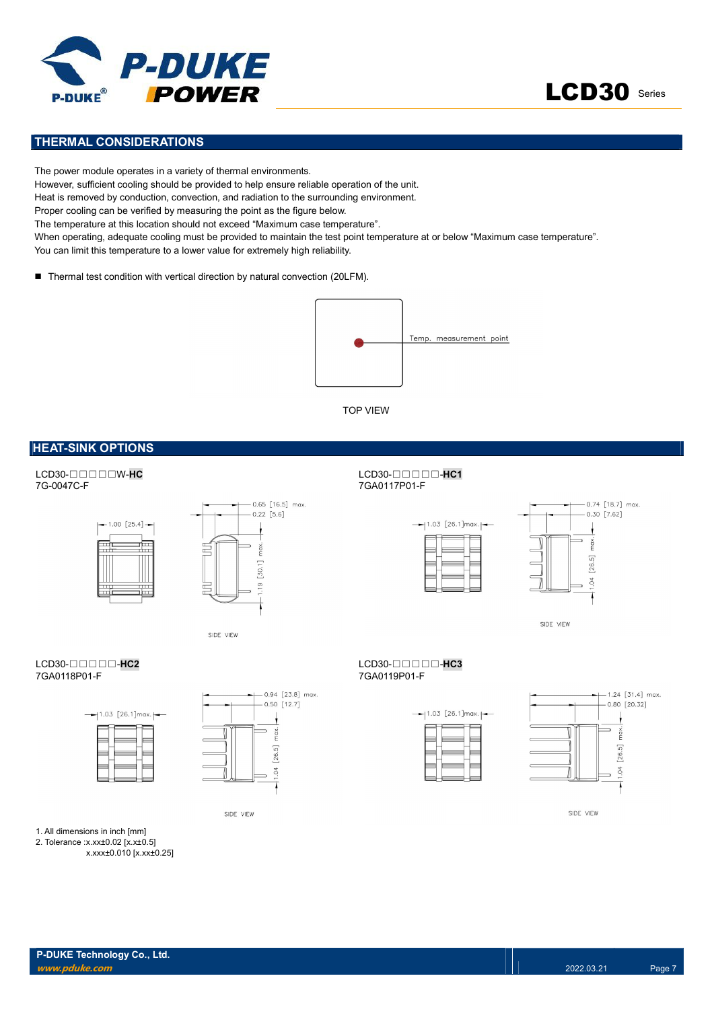



#### THERMAL CONSIDERATIONS

The power module operates in a variety of thermal environments. However, sufficient cooling should be provided to help ensure reliable operation of the unit. Heat is removed by conduction, convection, and radiation to the surrounding environment. Proper cooling can be verified by measuring the point as the figure below. The temperature at this location should not exceed "Maximum case temperature". When operating, adequate cooling must be provided to maintain the test point temperature at or below "Maximum case temperature". You can limit this temperature to a lower value for extremely high reliability.

■ Thermal test condition with vertical direction by natural convection (20LFM).



TOP VIEW

#### **HEAT-SINK OPTIONS**

LCD30-□□□□W-HC<br>7G-0047C-F LCD30-□□□□-HC1<br>7G-0047C-F





SIDE VIEW

## LCD30-□□□□-HC2<br>7GA0118P01-F<br>7GA0118P01-F





SIDE VIEW

1. All dimensions in inch [mm] 2. Tolerance :x.xx±0.02 [x.x±0.5]

x.xxx±0.010 [x.xx±0.25]

7GA0117P01-F





SIDE VIEW

7GA0118P01-F 7GA0119P01-F





SIDE VIEW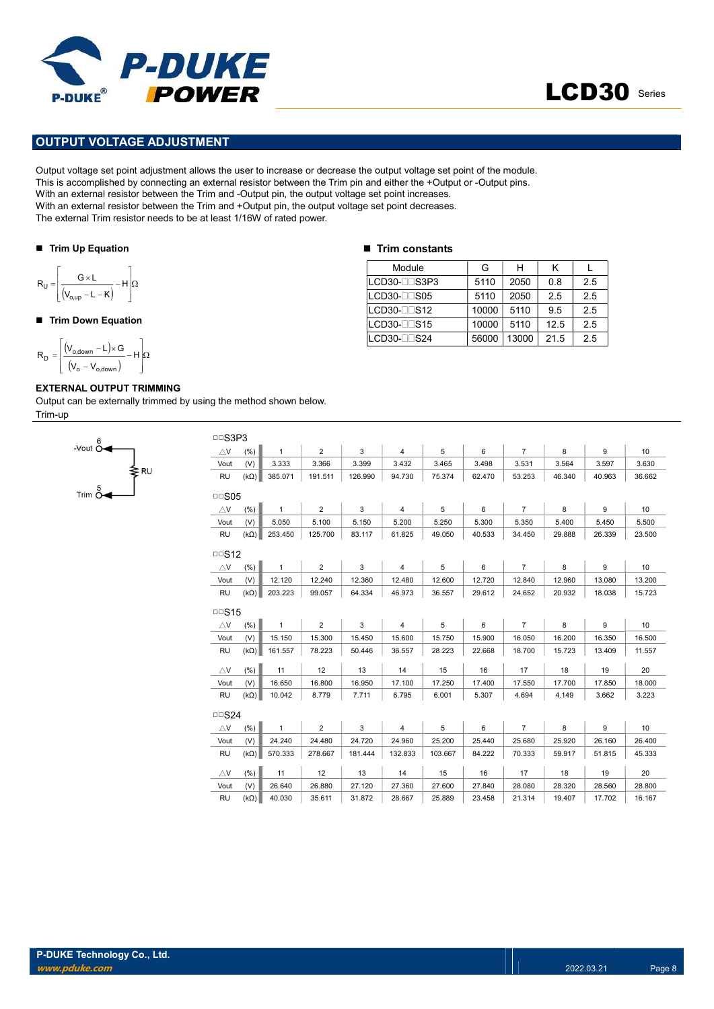



#### OUTPUT VOLTAGE ADJUSTMENT

Output voltage set point adjustment allows the user to increase or decrease the output voltage set point of the module. This is accomplished by connecting an external resistor between the Trim pin and either the +Output or -Output pins. With an external resistor between the Trim and -Output pin, the output voltage set point increases. With an external resistor between the Trim and +Output pin, the output voltage set point decreases. The external Trim resistor needs to be at least 1/16W of rated power. **PUT VOLTAGE ADJUSTMENT**<br>
PUT VOLTAGE ADJUSTMENT<br>
voltage set point dilustment allows the user to increase or decrease the output violtage set point of the<br>
accomplished by connecting an external resistor between the Trim POWER<br>
PUT VOLTAGE ADJUSTMENT<br>
NOWER<br>
NOWER<br>
NOWER<br>
DUT VOLTAGE ADJUSTMENT<br>
accomplished by connecting an external resistor between the Tim and -Output pin, the output voltage set point forcesses.<br>
nexternal resistor betw **POWER**<br>
UT VOLTAGE ADJUSTMENT<br>
UT VOLTAGE ADJUSTMENT<br>
voltage set point adjustment allows the user to increase or decrease the output voltage set point of the m<br>
external resistor between the Trim and -Output pin, the ou

#### ■ Trim Up Equation

$$
R_U = \left\lfloor \frac{G \times L}{(V_{o,up} - L - K)} - H \right\rfloor \Omega
$$

#### ■ Trim Down Equation

$$
R_D=\left[\frac{\left(V_{o,\text{down}}-L\right)\!\times\! G}{\left(V_o-V_{o,\text{down}}\right)}\!-\!H\right]\!\!\Omega
$$

#### EXTERNAL OUTPUT TRIMMING

Output can be externally trimmed by using the method shown below. Trim-up



|  |  |  | <b>Trim constants</b> |
|--|--|--|-----------------------|
|--|--|--|-----------------------|

| Module                | G     | н     | κ    |     |
|-----------------------|-------|-------|------|-----|
| LCD30-LLS3P3          | 5110  | 2050  | 0.8  | 2.5 |
| LCD30-ODS05           | 5110  | 2050  | 2.5  | 2.5 |
| $LCD30-1 1 S12$       | 10000 | 5110  | 9.5  | 2.5 |
| $LCD30 - \square$ S15 | 10000 | 5110  | 12.5 | 2.5 |
| LCD30-□□S24           | 56000 | 13000 | 21.5 | 2.5 |

| □□S3P3            |                    |                  |                  |                  |                  |                  |                  |                  |                  |                  |                  |
|-------------------|--------------------|------------------|------------------|------------------|------------------|------------------|------------------|------------------|------------------|------------------|------------------|
| $\triangle$ V     | (% )               | $\mathbf{1}$     | $\overline{2}$   | 3                | $\overline{4}$   | 5                | 6                | $\overline{7}$   | 8                | 9                | 10               |
| Vout              | (V)                | 3.333            | 3.366            | 3.399            | 3.432            | 3.465            | 3.498            | 3.531            | 3.564            | 3.597            | 3.630            |
| <b>RU</b>         | $(k\Omega)$        | 385.071          | 191.511          | 126.990          | 94.730           | 75.374           | 62.470           | 53.253           | 46.340           | 40.963           | 36.662           |
| $\Box$ S05        |                    |                  |                  |                  |                  |                  |                  |                  |                  |                  |                  |
|                   |                    | $\mathbf{1}$     | $\overline{2}$   | 3                | $\overline{4}$   | 5                | 6                | $\overline{7}$   | 8                | 9                | 10 <sup>1</sup>  |
| $\triangle$ V     | (% )               |                  |                  |                  |                  |                  |                  |                  |                  |                  |                  |
| Vout              | (V)                | 5.050            | 5.100            | 5.150            | 5.200            | 5.250            | 5.300            | 5.350            | 5.400            | 5.450            | 5.500            |
| <b>RU</b>         | $(k\Omega)$        | 253.450          | 125.700          | 83.117           | 61.825           | 49.050           | 40.533           | 34.450           | 29.888           | 26.339           | 23.500           |
| $\Box$ S12        |                    |                  |                  |                  |                  |                  |                  |                  |                  |                  |                  |
| $\triangle$ V     | (% )               | $\mathbf{1}$     | $\overline{2}$   | 3                | 4                | 5                | 6                | $\overline{7}$   | 8                | 9                | 10               |
| Vout              | (V)                | 12.120           | 12.240           | 12.360           | 12.480           | 12.600           | 12.720           | 12.840           | 12.960           | 13.080           | 13.200           |
| <b>RU</b>         | $(k\Omega)$        | 203.223          | 99.057           | 64.334           | 46.973           | 36.557           | 29.612           | 24.652           | 20.932           | 18.038           | 15.723           |
| $\Box$ S15        |                    |                  |                  |                  |                  |                  |                  |                  |                  |                  |                  |
| $\triangle$ V     | (% )               | $\mathbf{1}$     | $\overline{2}$   | 3                | $\overline{4}$   | 5                | 6                | $\overline{7}$   | 8                | 9                | 10               |
| Vout              | (V)                | 15.150           | 15.300           | 15.450           | 15.600           | 15.750           | 15.900           | 16.050           | 16.200           | 16.350           | 16.500           |
| <b>RU</b>         | $(k\Omega)$        | 161.557          | 78.223           | 50.446           | 36.557           | 28.223           | 22.668           | 18.700           | 15.723           | 13.409           | 11.557           |
|                   |                    |                  |                  |                  |                  |                  |                  |                  |                  |                  |                  |
| $\triangle$ V     | (% )               | 11               | 12               | 13               | 14               | 15               | 16               | 17               | 18               | 19               | 20               |
| Vout              | (V)                | 16.650           | 16.800           | 16.950           | 17.100           | 17.250           | 17.400           | 17.550           | 17.700           | 17.850           | 18.000           |
| <b>RU</b>         | $(k\Omega)$        | 10.042           | 8.779            | 7.711            | 6.795            | 6.001            | 5.307            | 4.694            | 4.149            | 3.662            | 3.223            |
| $\Box$ S24        |                    |                  |                  |                  |                  |                  |                  |                  |                  |                  |                  |
| $\triangle$ V     | (% )               | $\mathbf{1}$     | $\overline{2}$   | 3                | 4                | 5                | 6                | $\overline{7}$   | 8                | 9                | 10               |
| Vout              | (V)                | 24.240           | 24.480           | 24.720           | 24.960           | 25.200           | 25.440           | 25.680           | 25.920           | 26.160           | 26.400           |
| <b>RU</b>         | $(k\Omega)$        | 570.333          | 278.667          | 181.444          | 132.833          | 103.667          | 84.222           | 70.333           | 59.917           | 51.815           | 45.333           |
| $\triangle$ V     | (% )               | 11               | 12               | 13               | 14               | 15               | 16               | 17               | 18               | 19               | 20               |
|                   |                    |                  |                  |                  |                  |                  |                  |                  |                  |                  |                  |
|                   |                    |                  |                  |                  |                  |                  |                  |                  |                  |                  |                  |
| Vout<br><b>RU</b> | (V)<br>$(k\Omega)$ | 26.640<br>40.030 | 26.880<br>35.611 | 27.120<br>31.872 | 27.360<br>28.667 | 27.600<br>25.889 | 27.840<br>23.458 | 28.080<br>21.314 | 28.320<br>19.407 | 28.560<br>17.702 | 28.800<br>16.167 |